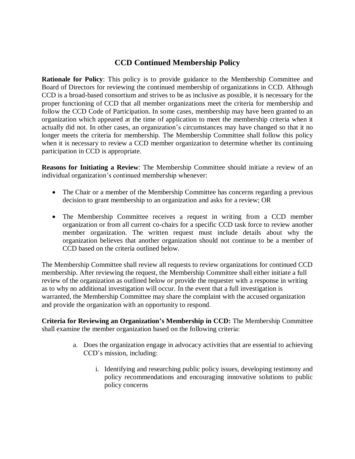## **CCD Continued Membership Policy**

**Rationale for Policy**: This policy is to provide guidance to the Membership Committee and Board of Directors for reviewing the continued membership of organizations in CCD. Although CCD is a broad-based consortium and strives to be as inclusive as possible, it is necessary for the proper functioning of CCD that all member organizations meet the criteria for membership and follow the CCD Code of Participation. In some cases, membership may have been granted to an organization which appeared at the time of application to meet the membership criteria when it actually did not. In other cases, an organization's circumstances may have changed so that it no longer meets the criteria for membership. The Membership Committee shall follow this policy when it is necessary to review a CCD member organization to determine whether its continuing participation in CCD is appropriate.

**Reasons for Initiating a Review**: The Membership Committee should initiate a review of an individual organization's continued membership whenever:

- The Chair or a member of the Membership Committee has concerns regarding a previous decision to grant membership to an organization and asks for a review; OR
- The Membership Committee receives a request in writing from a CCD member organization or from all current co-chairs for a specific CCD task force to review another member organization. The written request must include details about why the organization believes that another organization should not continue to be a member of CCD based on the criteria outlined below.

The Membership Committee shall review all requests to review organizations for continued CCD membership. After reviewing the request, the Membership Committee shall either initiate a full review of the organization as outlined below or provide the requester with a response in writing as to why no additional investigation will occur. In the event that a full investigation is warranted, the Membership Committee may share the complaint with the accused organization and provide the organization with an opportunity to respond.

**Criteria for Reviewing an Organization's Membership in CCD:** The Membership Committee shall examine the member organization based on the following criteria:

- a. Does the organization engage in advocacy activities that are essential to achieving CCD's mission, including:
	- i. Identifying and researching public policy issues, developing testimony and policy recommendations and encouraging innovative solutions to public policy concerns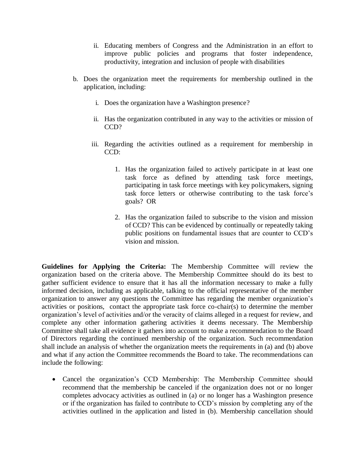- ii. Educating members of Congress and the Administration in an effort to improve public policies and programs that foster independence, productivity, integration and inclusion of people with disabilities
- b. Does the organization meet the requirements for membership outlined in the application, including:
	- i. Does the organization have a Washington presence?
	- ii. Has the organization contributed in any way to the activities or mission of CCD?
	- iii. Regarding the activities outlined as a requirement for membership in  $CCD$ :
		- 1. Has the organization failed to actively participate in at least one task force as defined by attending task force meetings, participating in task force meetings with key policymakers, signing task force letters or otherwise contributing to the task force's goals? OR
		- 2. Has the organization failed to subscribe to the vision and mission of CCD? This can be evidenced by continually or repeatedly taking public positions on fundamental issues that are counter to CCD's vision and mission.

**Guidelines for Applying the Criteria:** The Membership Committee will review the organization based on the criteria above. The Membership Committee should do its best to gather sufficient evidence to ensure that it has all the information necessary to make a fully informed decision, including as applicable, talking to the official representative of the member organization to answer any questions the Committee has regarding the member organization's activities or positions, contact the appropriate task force co-chair(s) to determine the member organization's level of activities and/or the veracity of claims alleged in a request for review, and complete any other information gathering activities it deems necessary. The Membership Committee shall take all evidence it gathers into account to make a recommendation to the Board of Directors regarding the continued membership of the organization. Such recommendation shall include an analysis of whether the organization meets the requirements in (a) and (b) above and what if any action the Committee recommends the Board to take. The recommendations can include the following:

 Cancel the organization's CCD Membership: The Membership Committee should recommend that the membership be canceled if the organization does not or no longer completes advocacy activities as outlined in (a) or no longer has a Washington presence or if the organization has failed to contribute to CCD's mission by completing any of the activities outlined in the application and listed in (b). Membership cancellation should